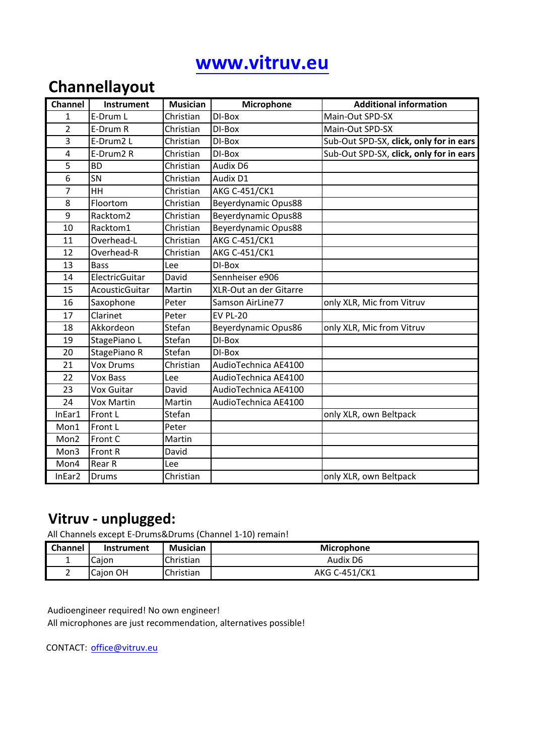# **www.vitruv.eu**

### **Channellayout**

| <b>Channel</b> | <b>Instrument</b> | <b>Musician</b> | Microphone             | <b>Additional information</b>           |
|----------------|-------------------|-----------------|------------------------|-----------------------------------------|
| $\mathbf{1}$   | E-Drum L          | Christian       | DI-Box                 | Main-Out SPD-SX                         |
| $\overline{2}$ | E-Drum R          | Christian       | DI-Box                 | Main-Out SPD-SX                         |
| 3              | E-Drum2 L         | Christian       | DI-Box                 | Sub-Out SPD-SX, click, only for in ears |
| $\overline{4}$ | E-Drum2 R         | Christian       | DI-Box                 | Sub-Out SPD-SX, click, only for in ears |
| 5              | <b>BD</b>         | Christian       | Audix D6               |                                         |
| 6              | SN                | Christian       | Audix D1               |                                         |
| 7              | HH                | Christian       | <b>AKG C-451/CK1</b>   |                                         |
| 8              | Floortom          | Christian       | Beyerdynamic Opus88    |                                         |
| 9              | Racktom2          | Christian       | Beyerdynamic Opus88    |                                         |
| 10             | Racktom1          | Christian       | Beyerdynamic Opus88    |                                         |
| 11             | Overhead-L        | Christian       | AKG C-451/CK1          |                                         |
| 12             | Overhead-R        | Christian       | AKG C-451/CK1          |                                         |
| 13             | <b>Bass</b>       | Lee             | DI-Box                 |                                         |
| 14             | ElectricGuitar    | David           | Sennheiser e906        |                                         |
| 15             | AcousticGuitar    | Martin          | XLR-Out an der Gitarre |                                         |
| 16             | Saxophone         | Peter           | Samson AirLine77       | only XLR, Mic from Vitruv               |
| 17             | Clarinet          | Peter           | <b>EV PL-20</b>        |                                         |
| 18             | Akkordeon         | Stefan          | Beyerdynamic Opus86    | only XLR, Mic from Vitruv               |
| 19             | StagePiano L      | Stefan          | DI-Box                 |                                         |
| 20             | StagePiano R      | Stefan          | DI-Box                 |                                         |
| 21             | <b>Vox Drums</b>  | Christian       | AudioTechnica AE4100   |                                         |
| 22             | <b>Vox Bass</b>   | Lee             | AudioTechnica AE4100   |                                         |
| 23             | Vox Guitar        | David           | AudioTechnica AE4100   |                                         |
| 24             | <b>Vox Martin</b> | Martin          | AudioTechnica AE4100   |                                         |
| InEar1         | Front L           | Stefan          |                        | only XLR, own Beltpack                  |
| Mon1           | Front L           | Peter           |                        |                                         |
| Mon2           | Front C           | Martin          |                        |                                         |
| Mon3           | Front R           | David           |                        |                                         |
| Mon4           | Rear R            | Lee             |                        |                                         |
| InEar2         | <b>Drums</b>      | Christian       |                        | only XLR, own Beltpack                  |

#### **Vitruv - unplugged:**

All Channels except E-Drums&Drums (Channel 1-10) remain!

| Channel | Instrument | Musician  | <b>Microphone</b> |
|---------|------------|-----------|-------------------|
| --      | Caion      | Christian | Audix D6          |
|         | lCaion OH  | Christian | AKG C-451/CK1     |

Audioengineer required! No own engineer! All microphones are just recommendation, alternatives possible!

CONTACT: office@vitruv.eu